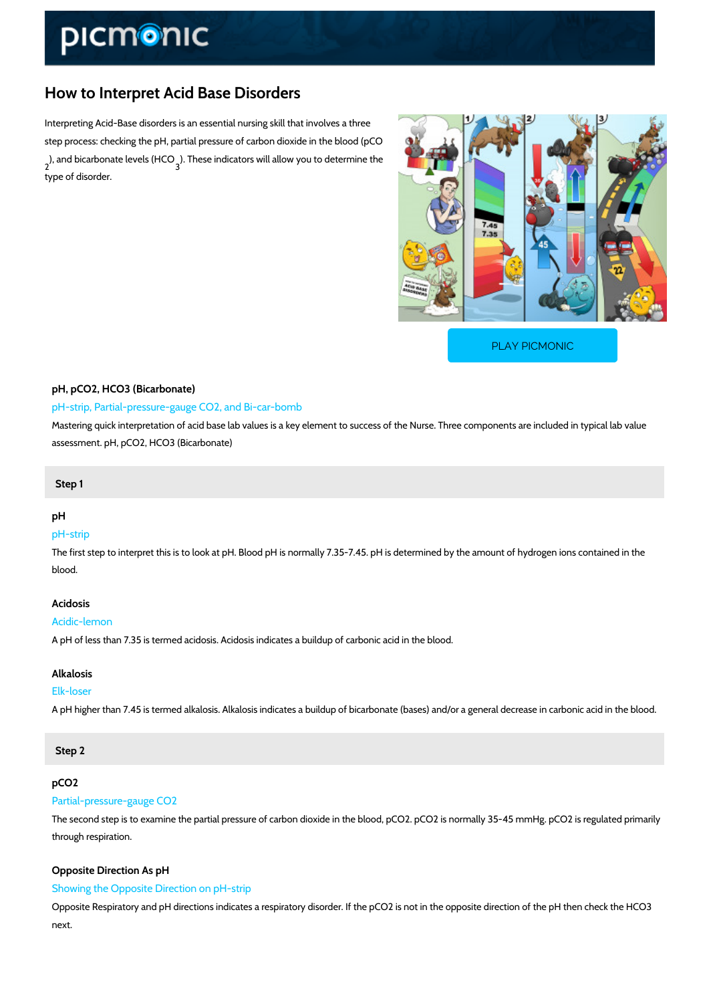# How to Interpret Acid Base Disorders

Interpreting Acid-Base disorders is an essential nursing skill that involves a three step process: checking the pH, partial pressure of carbon dioxide in the blood (pCO ), and bicarbonate  $\frac{3}{3}$  e  $\pi$  these  $\theta$  HiGo  $\theta$  icators will allow you to determine the type of disorder.

[PLAY PICMONIC](https://www.picmonic.com/learn/how-to-interpret-acid-base-disorders_1491?utm_source=downloadable_content&utm_medium=distributedcontent&utm_campaign=pathways_pdf&utm_content=How to Interpret Acid Base Disorders&utm_ad_group=leads&utm_market=all)

# pH, pCO2, HCO3 (Bicarbonate) pH-strip, Partial-pressure-gauge CO2, and Bi-car-bomb Mastering quick interpretation of acid base lab values is a key element to success of the Nurs

Step 1

## pH

### pH-strip

The first step to interpret this is to look at pH. Blood pH is normally 7.35-7.45. pH is determi blood.

# Acidosis

### Acidic-lemon

A pH of less than 7.35 is termed acidosis. Acidosis indicates a buildup of carbonic acid in the

# Alkalosis

#### Elk-loser

A pH higher than 7.45 is termed alkalosis. Alkalosis indicates a buildup of bicarbonate (bases

#### Step 2

## pCO2

## Partial-pressure-gauge CO2

The second step is to examine the partial pressure of carbon dioxide in the blood, pCO2. pCO through respiration.

# Opposite Direction As pH Showing the Opposite Direction on pH-strip

assessment. pH, pCO2, HCO3 (Bicarbonate)

Opposite Respiratory and pH directions indicates a respiratory disorder. If the pCO2 is not in next.